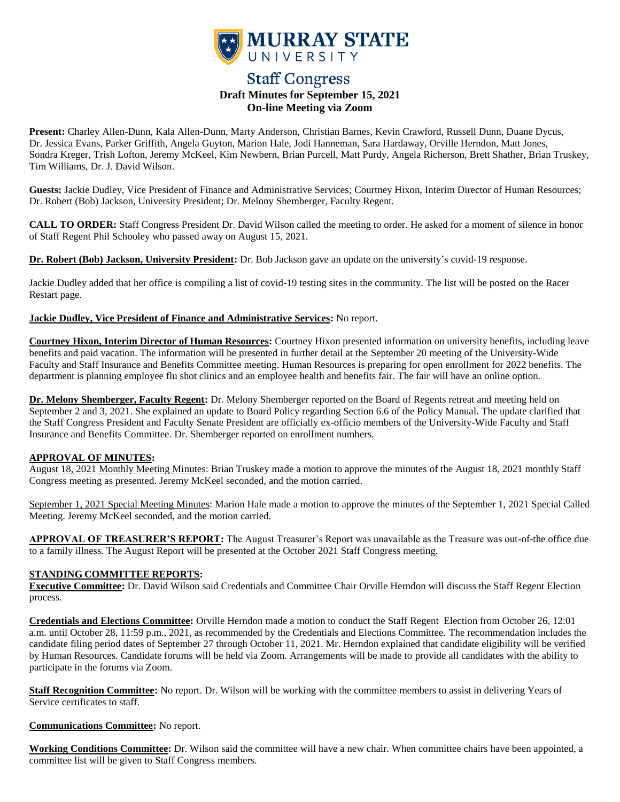

# **Staff Congress Draft Minutes for September 15, 2021 On-line Meeting via Zoom**

**Present:** Charley Allen-Dunn, Kala Allen-Dunn, Marty Anderson, Christian Barnes, Kevin Crawford, Russell Dunn, Duane Dycus, Dr. Jessica Evans, Parker Griffith, Angela Guyton, Marion Hale, Jodi Hanneman, Sara Hardaway, Orville Herndon, Matt Jones, Sondra Kreger, Trish Lofton, Jeremy McKeel, Kim Newbern, Brian Purcell, Matt Purdy, Angela Richerson, Brett Shather, Brian Truskey, Tim Williams, Dr. J. David Wilson.

**Guests:** Jackie Dudley, Vice President of Finance and Administrative Services; Courtney Hixon, Interim Director of Human Resources; Dr. Robert (Bob) Jackson, University President; Dr. Melony Shemberger, Faculty Regent.

**CALL TO ORDER:** Staff Congress President Dr. David Wilson called the meeting to order. He asked for a moment of silence in honor of Staff Regent Phil Schooley who passed away on August 15, 2021.

**Dr. Robert (Bob) Jackson, University President:** Dr. Bob Jackson gave an update on the university's covid-19 response.

Jackie Dudley added that her office is compiling a list of covid-19 testing sites in the community. The list will be posted on the Racer Restart page.

**Jackie Dudley, Vice President of Finance and Administrative Services:** No report.

**Courtney Hixon, Interim Director of Human Resources:** Courtney Hixon presented information on university benefits, including leave benefits and paid vacation. The information will be presented in further detail at the September 20 meeting of the University-Wide Faculty and Staff Insurance and Benefits Committee meeting. Human Resources is preparing for open enrollment for 2022 benefits. The department is planning employee flu shot clinics and an employee health and benefits fair. The fair will have an online option.

**Dr. Melony Shemberger, Faculty Regent:** Dr. Melony Shemberger reported on the Board of Regents retreat and meeting held on September 2 and 3, 2021. She explained an update to Board Policy regarding Section 6.6 of the Policy Manual. The update clarified that the Staff Congress President and Faculty Senate President are officially ex-officio members of the University-Wide Faculty and Staff Insurance and Benefits Committee. Dr. Shemberger reported on enrollment numbers.

### **APPROVAL OF MINUTES:**

August 18, 2021 Monthly Meeting Minutes: Brian Truskey made a motion to approve the minutes of the August 18, 2021 monthly Staff Congress meeting as presented. Jeremy McKeel seconded, and the motion carried.

September 1, 2021 Special Meeting Minutes: Marion Hale made a motion to approve the minutes of the September 1, 2021 Special Called Meeting. Jeremy McKeel seconded, and the motion carried.

**APPROVAL OF TREASURER'S REPORT:** The August Treasurer's Report was unavailable as the Treasure was out-of-the office due to a family illness. The August Report will be presented at the October 2021 Staff Congress meeting.

## **STANDING COMMITTEE REPORTS:**

**Executive Committee:** Dr. David Wilson said Credentials and Committee Chair Orville Herndon will discuss the Staff Regent Election process.

**Credentials and Elections Committee:** Orville Herndon made a motion to conduct the Staff Regent Election from October 26, 12:01 a.m. until October 28, 11:59 p.m., 2021, as recommended by the Credentials and Elections Committee. The recommendation includes the candidate filing period dates of September 27 through October 11, 2021. Mr. Herndon explained that candidate eligibility will be verified by Human Resources. Candidate forums will be held via Zoom. Arrangements will be made to provide all candidates with the ability to participate in the forums via Zoom.

**Staff Recognition Committee:** No report. Dr. Wilson will be working with the committee members to assist in delivering Years of Service certificates to staff.

**Communications Committee:** No report.

**Working Conditions Committee:** Dr. Wilson said the committee will have a new chair. When committee chairs have been appointed, a committee list will be given to Staff Congress members.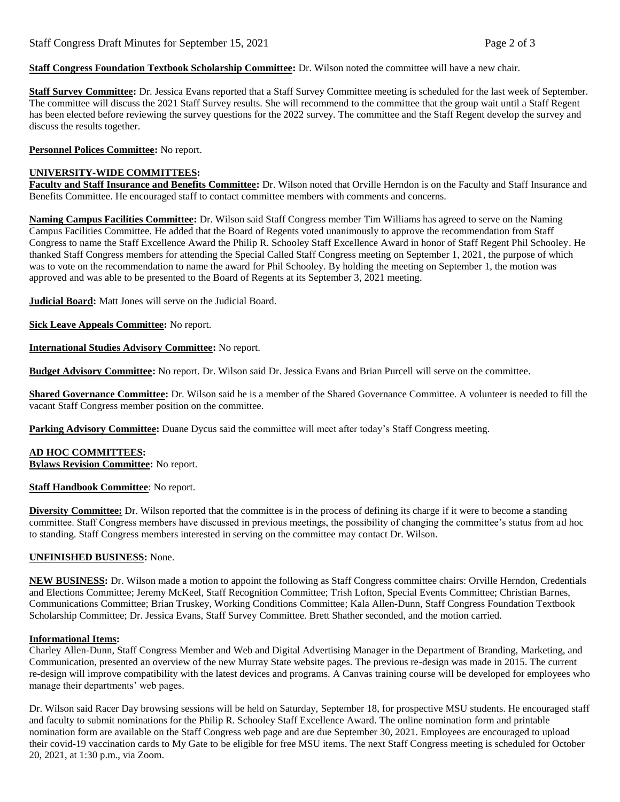**Staff Congress Foundation Textbook Scholarship Committee:** Dr. Wilson noted the committee will have a new chair.

**Staff Survey Committee:** Dr. Jessica Evans reported that a Staff Survey Committee meeting is scheduled for the last week of September. The committee will discuss the 2021 Staff Survey results. She will recommend to the committee that the group wait until a Staff Regent has been elected before reviewing the survey questions for the 2022 survey. The committee and the Staff Regent develop the survey and discuss the results together.

**Personnel Polices Committee:** No report.

### **UNIVERSITY-WIDE COMMITTEES:**

**Faculty and Staff Insurance and Benefits Committee:** Dr. Wilson noted that Orville Herndon is on the Faculty and Staff Insurance and Benefits Committee. He encouraged staff to contact committee members with comments and concerns.

**Naming Campus Facilities Committee:** Dr. Wilson said Staff Congress member Tim Williams has agreed to serve on the Naming Campus Facilities Committee. He added that the Board of Regents voted unanimously to approve the recommendation from Staff Congress to name the Staff Excellence Award the Philip R. Schooley Staff Excellence Award in honor of Staff Regent Phil Schooley. He thanked Staff Congress members for attending the Special Called Staff Congress meeting on September 1, 2021, the purpose of which was to vote on the recommendation to name the award for Phil Schooley. By holding the meeting on September 1, the motion was approved and was able to be presented to the Board of Regents at its September 3, 2021 meeting.

**Judicial Board:** Matt Jones will serve on the Judicial Board.

**Sick Leave Appeals Committee:** No report.

**International Studies Advisory Committee:** No report.

**Budget Advisory Committee:** No report. Dr. Wilson said Dr. Jessica Evans and Brian Purcell will serve on the committee.

**Shared Governance Committee:** Dr. Wilson said he is a member of the Shared Governance Committee. A volunteer is needed to fill the vacant Staff Congress member position on the committee.

**Parking Advisory Committee:** Duane Dycus said the committee will meet after today's Staff Congress meeting.

# **AD HOC COMMITTEES:**

**Bylaws Revision Committee:** No report.

**Staff Handbook Committee**: No report.

**Diversity Committee:** Dr. Wilson reported that the committee is in the process of defining its charge if it were to become a standing committee. Staff Congress members have discussed in previous meetings, the possibility of changing the committee's status from ad hoc to standing. Staff Congress members interested in serving on the committee may contact Dr. Wilson.

#### **UNFINISHED BUSINESS:** None.

**NEW BUSINESS:** Dr. Wilson made a motion to appoint the following as Staff Congress committee chairs: Orville Herndon, Credentials and Elections Committee; Jeremy McKeel, Staff Recognition Committee; Trish Lofton, Special Events Committee; Christian Barnes, Communications Committee; Brian Truskey, Working Conditions Committee; Kala Allen-Dunn, Staff Congress Foundation Textbook Scholarship Committee; Dr. Jessica Evans, Staff Survey Committee. Brett Shather seconded, and the motion carried.

#### **Informational Items:**

Charley Allen-Dunn, Staff Congress Member and Web and Digital Advertising Manager in the Department of Branding, Marketing, and Communication, presented an overview of the new Murray State website pages. The previous re-design was made in 2015. The current re-design will improve compatibility with the latest devices and programs. A Canvas training course will be developed for employees who manage their departments' web pages.

Dr. Wilson said Racer Day browsing sessions will be held on Saturday, September 18, for prospective MSU students. He encouraged staff and faculty to submit nominations for the Philip R. Schooley Staff Excellence Award. The online nomination form and printable nomination form are available on the Staff Congress web page and are due September 30, 2021. Employees are encouraged to upload their covid-19 vaccination cards to My Gate to be eligible for free MSU items. The next Staff Congress meeting is scheduled for October 20, 2021, at 1:30 p.m., via Zoom.